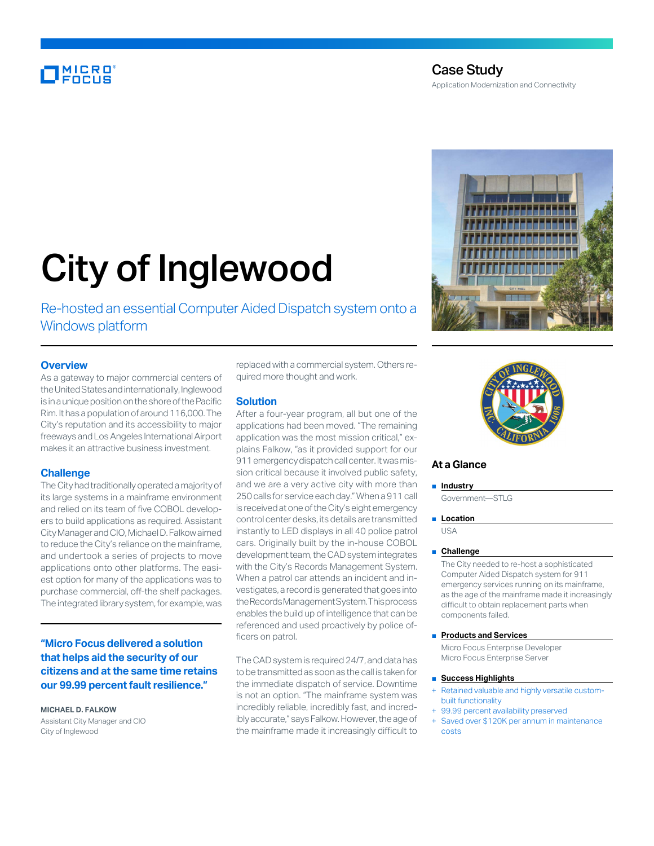# MICRO<br>Encus

## Case Study Application Modernization and Connectivity

# City of Inglewood

Re-hosted an essential Computer Aided Dispatch system onto a Windows platform

#### **Overview**

As a gateway to major commercial centers of the United States and internationally, Inglewood is in a unique position on the shore of the Pacific Rim. It has a population of around 116,000. The City's reputation and its accessibility to major freeways and Los Angeles International Airport makes it an attractive business investment.

#### **Challenge**

The City had traditionally operated a majority of its large systems in a mainframe environment and relied on its team of five COBOL developers to build applications as required. Assistant City Manager and CIO, Michael D. Falkow aimed to reduce the City's reliance on the mainframe, and undertook a series of projects to move applications onto other platforms. The easiest option for many of the applications was to purchase commercial, off-the shelf packages. The integrated library system, for example, was

### **"Micro Focus delivered a solution that helps aid the security of our citizens and at the same time retains our 99.99 percent fault resilience."**

#### **MICHAEL D. FALKOW**

Assistant City Manager and CIO City of Inglewood

replaced with a commercial system. Others required more thought and work.

#### **Solution**

After a four-year program, all but one of the applications had been moved. "The remaining application was the most mission critical," explains Falkow, "as it provided support for our 911 emergency dispatch call center. It was mission critical because it involved public safety, and we are a very active city with more than 250 calls for service each day." When a 911 call is received at one of the City's eight emergency control center desks, its details are transmitted instantly to LED displays in all 40 police patrol cars. Originally built by the in-house COBOL development team, the CAD system integrates with the City's Records Management System. When a patrol car attends an incident and investigates, a record is generated that goes into the Records Management System. This process enables the build up of intelligence that can be referenced and used proactively by police officers on patrol.

The CAD system is required 24/7, and data has to be transmitted as soon as the call is taken for the immediate dispatch of service. Downtime is not an option. "The mainframe system was incredibly reliable, incredibly fast, and incredibly accurate," says Falkow. However, the age of the mainframe made it increasingly difficult to





#### **At a Glance**

■ **Industry** 

Government—STLG

#### ■ **Location**

USA

#### ■ **Challenge**

The City needed to re-host a sophisticated Computer Aided Dispatch system for 911 emergency services running on its mainframe, as the age of the mainframe made it increasingly difficult to obtain replacement parts when components failed.

#### ■ **Products and Services**

Micro Focus Enterprise Developer Micro Focus Enterprise Server

#### ■ **Success Highlights**

- Retained valuable and highly versatile custombuilt functionality
- 99.99 percent availability preserved
- Saved over \$120K per annum in maintenance costs